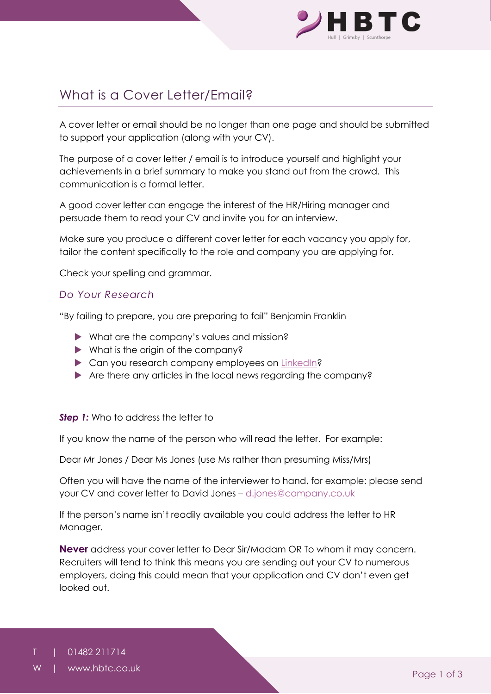

# What is a Cover Letter/Email?

A cover letter or email should be no longer than one page and should be submitted to support your application (along with your CV).

The purpose of a cover letter / email is to introduce yourself and highlight your achievements in a brief summary to make you stand out from the crowd. This communication is a formal letter.

A good cover letter can engage the interest of the HR/Hiring manager and persuade them to read your CV and invite you for an interview.

Make sure you produce a different cover letter for each vacancy you apply for, tailor the content specifically to the role and company you are applying for.

Check your spelling and grammar.

## *Do Your Research*

"By failing to prepare, you are preparing to fail" Benjamin Franklin

- What are the company's values and mission?
- What is the origin of the company?
- ▶ Can you research company employees on [LinkedIn?](http://www.linkedin.com/)
- Are there any articles in the local news regarding the company?

#### **Step 1:** Who to address the letter to

If you know the name of the person who will read the letter. For example:

Dear Mr Jones / Dear Ms Jones (use Ms rather than presuming Miss/Mrs)

Often you will have the name of the interviewer to hand, for example: please send your CV and cover letter to David Jones – [d.jones@company.co.uk](mailto:d.jones@company.co.uk)

If the person's name isn't readily available you could address the letter to HR Manager.

**Never** address your cover letter to Dear Sir/Madam OR To whom it may concern. Recruiters will tend to think this means you are sending out your CV to numerous employers, doing this could mean that your application and CV don't even get looked out.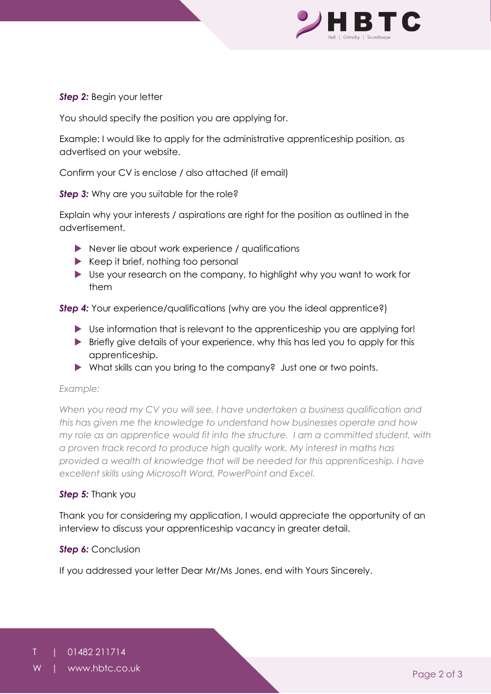

### *Step 2: Begin your letter*

You should specify the position you are applying for.

Example: I would like to apply for the administrative apprenticeship position, as advertised on your website.

Confirm your CV is enclose / also attached (if email)

**Step 3:** Why are you suitable for the role?

Explain why your interests / aspirations are right for the position as outlined in the advertisement.

- Never lie about work experience / qualifications
- $\blacktriangleright$  Keep it brief, nothing too personal
- Use your research on the company, to highlight why you want to work for them

**Step 4:** Your experience/qualifications (why are you the ideal apprentice?)

- Use information that is relevant to the apprenticeship you are applying for!
- **Briefly give details of your experience, why this has led you to apply for this** apprenticeship.
- What skills can you bring to the company? Just one or two points.

#### *Example:*

*When you read my CV you will see, I have undertaken a business qualification and this has given me the knowledge to understand how businesses operate and how my role as an apprentice would fit into the structure. I am a committed student, with a proven track record to produce high quality work. My interest in maths has provided a wealth of knowledge that will be needed for this apprenticeship. I have excellent skills using Microsoft Word, PowerPoint and Excel.*

#### *Step 5:* Thank you

Thank you for considering my application, I would appreciate the opportunity of an interview to discuss your apprenticeship vacancy in greater detail.

#### *Step 6: Conclusion*

If you addressed your letter Dear Mr/Ms Jones, end with Yours Sincerely.